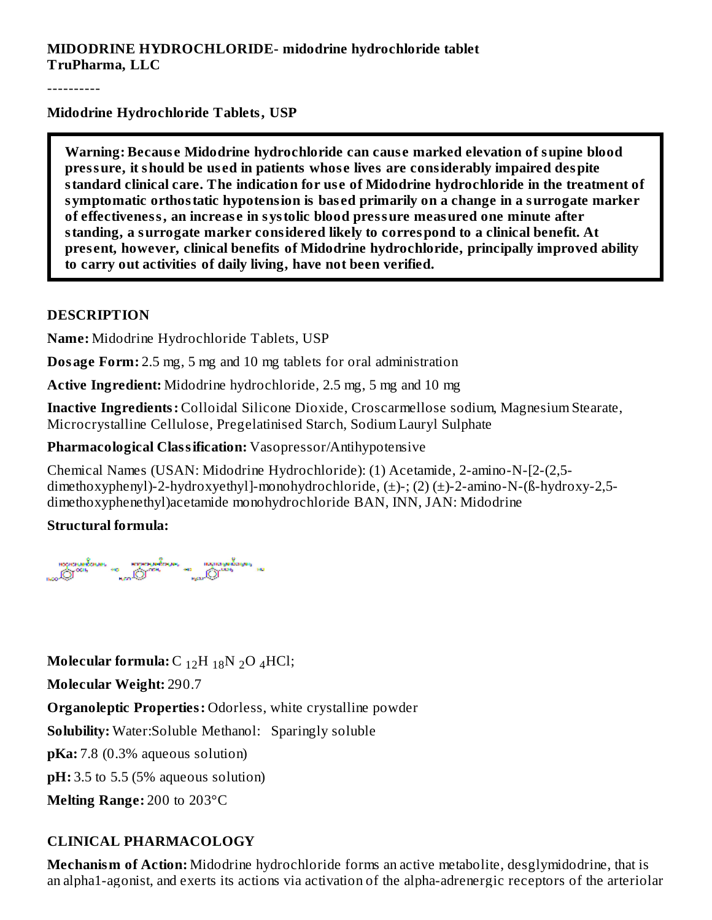# **MIDODRINE HYDROCHLORIDE- midodrine hydrochloride tablet TruPharma, LLC**

----------

**Midodrine Hydrochloride Tablets, USP**

**Warning: Becaus e Midodrine hydrochloride can caus e marked elevation of supine blood pressure, it should be us ed in patients whos e lives are considerably impaired despite standard clinical care. The indication for us e of Midodrine hydrochloride in the treatment of symptomatic orthostatic hypotension is bas ed primarily on a change in a surrogate marker of effectiveness, an increas e in systolic blood pressure measured one minute after standing, a surrogate marker considered likely to correspond to a clinical benefit. At pres ent, however, clinical benefits of Midodrine hydrochloride, principally improved ability to carry out activities of daily living, have not been verified.**

#### **DESCRIPTION**

**Name:** Midodrine Hydrochloride Tablets, USP

**Dosage Form:** 2.5 mg, 5 mg and 10 mg tablets for oral administration

**Active Ingredient:** Midodrine hydrochloride, 2.5 mg, 5 mg and 10 mg

**Inactive Ingredients:** Colloidal Silicone Dioxide, Croscarmellose sodium, Magnesium Stearate, Microcrystalline Cellulose, Pregelatinised Starch, Sodium Lauryl Sulphate

**Pharmacological Classification:** Vasopressor/Antihypotensive

Chemical Names (USAN: Midodrine Hydrochloride): (1) Acetamide, 2-amino-N-[2-(2,5 dimethoxyphenyl)-2-hydroxyethyl]-monohydrochloride, (±)-; (2) (±)-2-amino-N-(ß-hydroxy-2,5 dimethoxyphenethyl)acetamide monohydrochloride BAN, INN, JAN: Midodrine

## **Structural formula:**

**Molecular formula:**  $C_{12}H_{18}N_{2}O_{4}HCl$ ; **Molecular Weight:** 290.7 **Organoleptic Properties:** Odorless, white crystalline powder **Solubility:** Water:Soluble Methanol: Sparingly soluble **pKa:** 7.8 (0.3% aqueous solution) **pH:** 3.5 to 5.5 (5% aqueous solution) **Melting Range:** 200 to 203°C

## **CLINICAL PHARMACOLOGY**

**Mechanism of Action:** Midodrine hydrochloride forms an active metabolite, desglymidodrine, that is an alpha1-agonist, and exerts its actions via activation of the alpha-adrenergic receptors of the arteriolar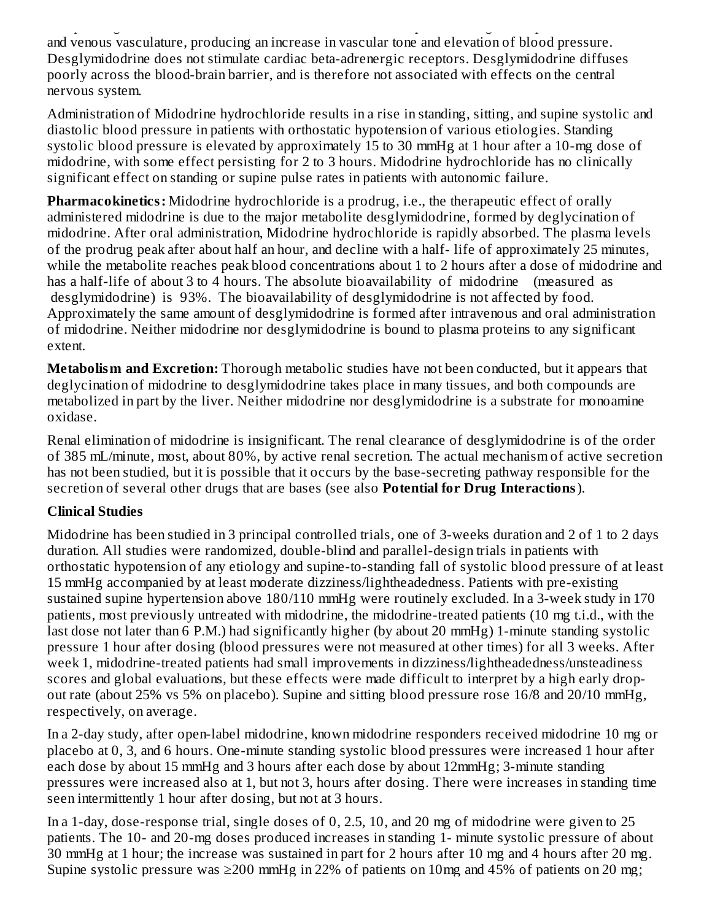an alpha1-agonist, and exerts its actions via activation of the alpha-adrenergic receptors of the arteriolar and venous vasculature, producing an increase in vascular tone and elevation of blood pressure. Desglymidodrine does not stimulate cardiac beta-adrenergic receptors. Desglymidodrine diffuses poorly across the blood-brain barrier, and is therefore not associated with effects on the central nervous system.

Administration of Midodrine hydrochloride results in a rise in standing, sitting, and supine systolic and diastolic blood pressure in patients with orthostatic hypotension of various etiologies. Standing systolic blood pressure is elevated by approximately 15 to 30 mmHg at 1 hour after a 10-mg dose of midodrine, with some effect persisting for 2 to 3 hours. Midodrine hydrochloride has no clinically significant effect on standing or supine pulse rates in patients with autonomic failure.

**Pharmacokinetics:** Midodrine hydrochloride is a prodrug, i.e., the therapeutic effect of orally administered midodrine is due to the major metabolite desglymidodrine, formed by deglycination of midodrine. After oral administration, Midodrine hydrochloride is rapidly absorbed. The plasma levels of the prodrug peak after about half an hour, and decline with a half- life of approximately 25 minutes, while the metabolite reaches peak blood concentrations about 1 to 2 hours after a dose of midodrine and has a half-life of about 3 to 4 hours. The absolute bioavailability of midodrine (measured as desglymidodrine) is 93%. The bioavailability of desglymidodrine is not affected by food. Approximately the same amount of desglymidodrine is formed after intravenous and oral administration of midodrine. Neither midodrine nor desglymidodrine is bound to plasma proteins to any significant extent.

**Metabolism and Excretion:** Thorough metabolic studies have not been conducted, but it appears that deglycination of midodrine to desglymidodrine takes place in many tissues, and both compounds are metabolized in part by the liver. Neither midodrine nor desglymidodrine is a substrate for monoamine oxidase.

Renal elimination of midodrine is insignificant. The renal clearance of desglymidodrine is of the order of 385 mL/minute, most, about 80%, by active renal secretion. The actual mechanism of active secretion has not been studied, but it is possible that it occurs by the base-secreting pathway responsible for the secretion of several other drugs that are bases (see also **Potential for Drug Interactions**).

## **Clinical Studies**

Midodrine has been studied in 3 principal controlled trials, one of 3-weeks duration and 2 of 1 to 2 days duration. All studies were randomized, double-blind and parallel-design trials in patients with orthostatic hypotension of any etiology and supine-to-standing fall of systolic blood pressure of at least 15 mmHg accompanied by at least moderate dizziness/lightheadedness. Patients with pre-existing sustained supine hypertension above 180/110 mmHg were routinely excluded. In a 3-week study in 170 patients, most previously untreated with midodrine, the midodrine-treated patients (10 mg t.i.d., with the last dose not later than 6 P.M.) had significantly higher (by about 20 mmHg) 1-minute standing systolic pressure 1 hour after dosing (blood pressures were not measured at other times) for all 3 weeks. After week 1, midodrine-treated patients had small improvements in dizziness/lightheadedness/unsteadiness scores and global evaluations, but these effects were made difficult to interpret by a high early dropout rate (about 25% vs 5% on placebo). Supine and sitting blood pressure rose 16/8 and 20/10 mmHg, respectively, on average.

In a 2-day study, after open-label midodrine, known midodrine responders received midodrine 10 mg or placebo at 0, 3, and 6 hours. One-minute standing systolic blood pressures were increased 1 hour after each dose by about 15 mmHg and 3 hours after each dose by about 12mmHg; 3-minute standing pressures were increased also at 1, but not 3, hours after dosing. There were increases in standing time seen intermittently 1 hour after dosing, but not at 3 hours.

In a 1-day, dose-response trial, single doses of 0, 2.5, 10, and 20 mg of midodrine were given to 25 patients. The 10- and 20-mg doses produced increases in standing 1- minute systolic pressure of about 30 mmHg at 1 hour; the increase was sustained in part for 2 hours after 10 mg and 4 hours after 20 mg. Supine systolic pressure was  $\geq 200$  mmHg in 22% of patients on 10mg and 45% of patients on 20 mg;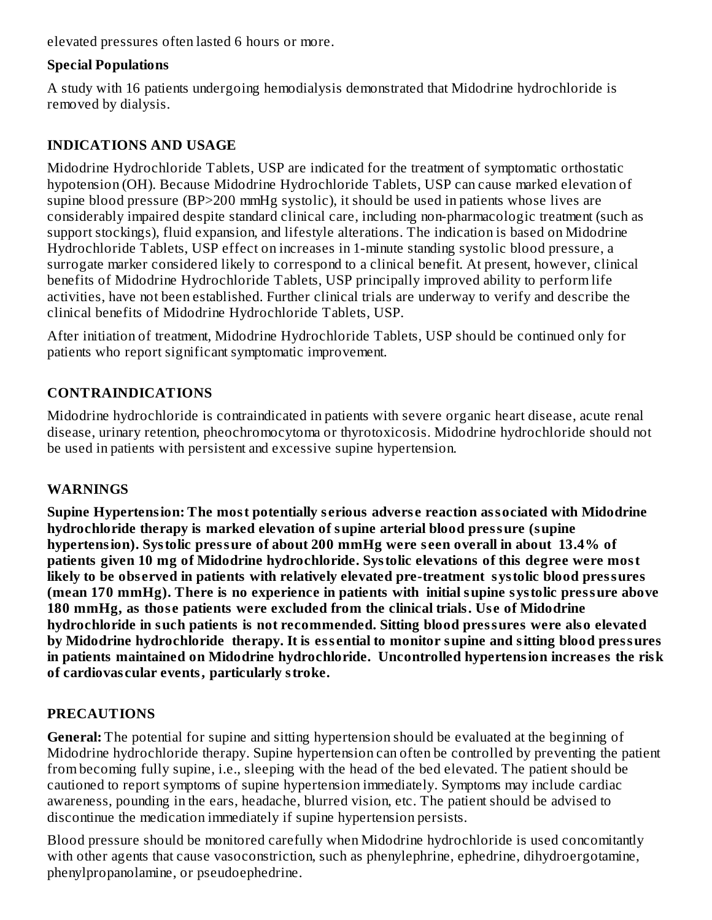elevated pressures often lasted 6 hours or more.

# **Special Populations**

A study with 16 patients undergoing hemodialysis demonstrated that Midodrine hydrochloride is removed by dialysis.

# **INDICATIONS AND USAGE**

Midodrine Hydrochloride Tablets, USP are indicated for the treatment of symptomatic orthostatic hypotension (OH). Because Midodrine Hydrochloride Tablets, USP can cause marked elevation of supine blood pressure (BP>200 mmHg systolic), it should be used in patients whose lives are considerably impaired despite standard clinical care, including non-pharmacologic treatment (such as support stockings), fluid expansion, and lifestyle alterations. The indication is based on Midodrine Hydrochloride Tablets, USP effect on increases in 1-minute standing systolic blood pressure, a surrogate marker considered likely to correspond to a clinical benefit. At present, however, clinical benefits of Midodrine Hydrochloride Tablets, USP principally improved ability to perform life activities, have not been established. Further clinical trials are underway to verify and describe the clinical benefits of Midodrine Hydrochloride Tablets, USP.

After initiation of treatment, Midodrine Hydrochloride Tablets, USP should be continued only for patients who report significant symptomatic improvement.

# **CONTRAINDICATIONS**

Midodrine hydrochloride is contraindicated in patients with severe organic heart disease, acute renal disease, urinary retention, pheochromocytoma or thyrotoxicosis. Midodrine hydrochloride should not be used in patients with persistent and excessive supine hypertension.

## **WARNINGS**

**Supine Hypertension: The most potentially s erious advers e reaction associated with Midodrine hydrochloride therapy is marked elevation of supine arterial blood pressure (supine hypertension). Systolic pressure of about 200 mmHg were s een overall in about 13.4% of patients given 10 mg of Midodrine hydrochloride. Systolic elevations of this degree were most likely to be obs erved in patients with relatively elevated pre-treatment systolic blood pressures (mean 170 mmHg). There is no experience in patients with initial supine systolic pressure above 180 mmHg, as thos e patients were excluded from the clinical trials. Us e of Midodrine hydrochloride in such patients is not recommended. Sitting blood pressures were also elevated by Midodrine hydrochloride therapy. It is ess ential to monitor supine and sitting blood pressures in patients maintained on Midodrine hydrochloride. Uncontrolled hypertension increas es the risk of cardiovas cular events, particularly stroke.**

## **PRECAUTIONS**

**General:** The potential for supine and sitting hypertension should be evaluated at the beginning of Midodrine hydrochloride therapy. Supine hypertension can often be controlled by preventing the patient from becoming fully supine, i.e., sleeping with the head of the bed elevated. The patient should be cautioned to report symptoms of supine hypertension immediately. Symptoms may include cardiac awareness, pounding in the ears, headache, blurred vision, etc. The patient should be advised to discontinue the medication immediately if supine hypertension persists.

Blood pressure should be monitored carefully when Midodrine hydrochloride is used concomitantly with other agents that cause vasoconstriction, such as phenylephrine, ephedrine, dihydroergotamine, phenylpropanolamine, or pseudoephedrine.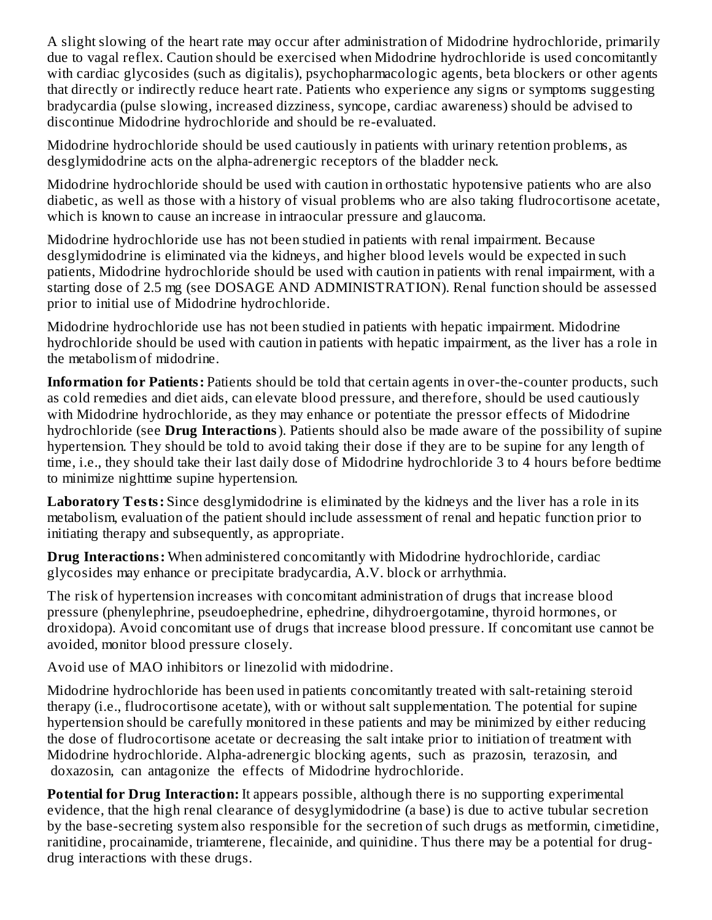A slight slowing of the heart rate may occur after administration of Midodrine hydrochloride, primarily due to vagal reflex. Caution should be exercised when Midodrine hydrochloride is used concomitantly with cardiac glycosides (such as digitalis), psychopharmacologic agents, beta blockers or other agents that directly or indirectly reduce heart rate. Patients who experience any signs or symptoms suggesting bradycardia (pulse slowing, increased dizziness, syncope, cardiac awareness) should be advised to discontinue Midodrine hydrochloride and should be re-evaluated.

Midodrine hydrochloride should be used cautiously in patients with urinary retention problems, as desglymidodrine acts on the alpha-adrenergic receptors of the bladder neck.

Midodrine hydrochloride should be used with caution in orthostatic hypotensive patients who are also diabetic, as well as those with a history of visual problems who are also taking fludrocortisone acetate, which is known to cause an increase in intraocular pressure and glaucoma.

Midodrine hydrochloride use has not been studied in patients with renal impairment. Because desglymidodrine is eliminated via the kidneys, and higher blood levels would be expected in such patients, Midodrine hydrochloride should be used with caution in patients with renal impairment, with a starting dose of 2.5 mg (see DOSAGE AND ADMINISTRATION). Renal function should be assessed prior to initial use of Midodrine hydrochloride.

Midodrine hydrochloride use has not been studied in patients with hepatic impairment. Midodrine hydrochloride should be used with caution in patients with hepatic impairment, as the liver has a role in the metabolism of midodrine.

**Information for Patients:** Patients should be told that certain agents in over-the-counter products, such as cold remedies and diet aids, can elevate blood pressure, and therefore, should be used cautiously with Midodrine hydrochloride, as they may enhance or potentiate the pressor effects of Midodrine hydrochloride (see **Drug Interactions**). Patients should also be made aware of the possibility of supine hypertension. They should be told to avoid taking their dose if they are to be supine for any length of time, i.e., they should take their last daily dose of Midodrine hydrochloride 3 to 4 hours before bedtime to minimize nighttime supine hypertension.

**Laboratory Tests:** Since desglymidodrine is eliminated by the kidneys and the liver has a role in its metabolism, evaluation of the patient should include assessment of renal and hepatic function prior to initiating therapy and subsequently, as appropriate.

**Drug Interactions:** When administered concomitantly with Midodrine hydrochloride, cardiac glycosides may enhance or precipitate bradycardia, A.V. block or arrhythmia.

The risk of hypertension increases with concomitant administration of drugs that increase blood pressure (phenylephrine, pseudoephedrine, ephedrine, dihydroergotamine, thyroid hormones, or droxidopa). Avoid concomitant use of drugs that increase blood pressure. If concomitant use cannot be avoided, monitor blood pressure closely.

Avoid use of MAO inhibitors or linezolid with midodrine.

Midodrine hydrochloride has been used in patients concomitantly treated with salt-retaining steroid therapy (i.e., fludrocortisone acetate), with or without salt supplementation. The potential for supine hypertension should be carefully monitored in these patients and may be minimized by either reducing the dose of fludrocortisone acetate or decreasing the salt intake prior to initiation of treatment with Midodrine hydrochloride. Alpha-adrenergic blocking agents, such as prazosin, terazosin, and doxazosin, can antagonize the effects of Midodrine hydrochloride.

**Potential for Drug Interaction:** It appears possible, although there is no supporting experimental evidence, that the high renal clearance of desyglymidodrine (a base) is due to active tubular secretion by the base-secreting system also responsible for the secretion of such drugs as metformin, cimetidine, ranitidine, procainamide, triamterene, flecainide, and quinidine. Thus there may be a potential for drugdrug interactions with these drugs.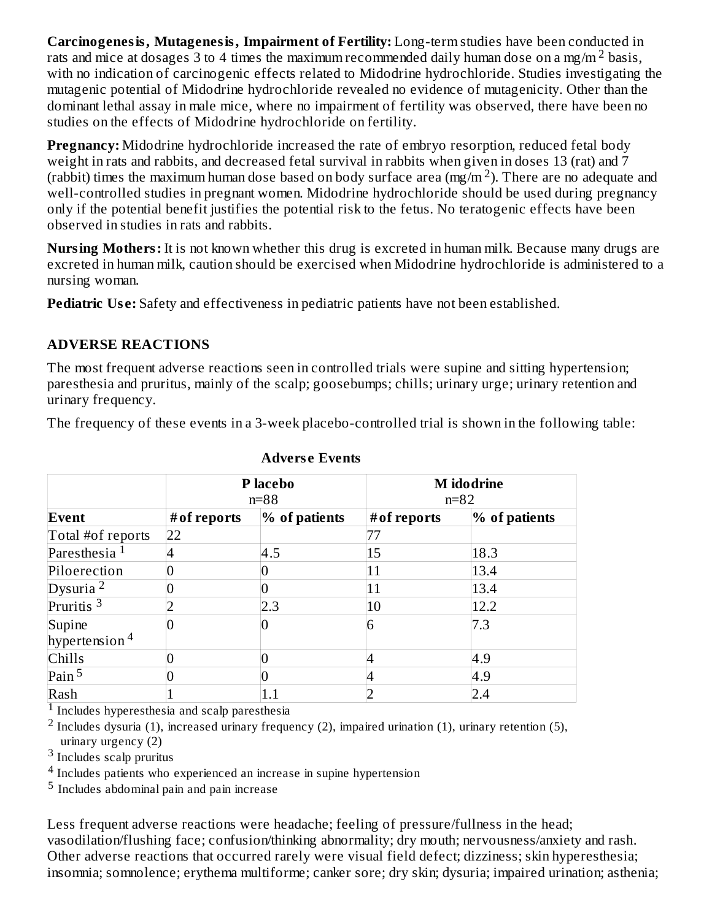**Carcinogenesis, Mutagenesis, Impairment of Fertility:** Long-term studies have been conducted in rats and mice at dosages 3 to 4 times the maximum recommended daily human dose on a mg/m<sup>2</sup> basis, with no indication of carcinogenic effects related to Midodrine hydrochloride. Studies investigating the mutagenic potential of Midodrine hydrochloride revealed no evidence of mutagenicity. Other than the dominant lethal assay in male mice, where no impairment of fertility was observed, there have been no studies on the effects of Midodrine hydrochloride on fertility.

**Pregnancy:** Midodrine hydrochloride increased the rate of embryo resorption, reduced fetal body weight in rats and rabbits, and decreased fetal survival in rabbits when given in doses 13 (rat) and 7 (rabbit) times the maximum human dose based on body surface area (mg/m<sup>2</sup>). There are no adequate and well-controlled studies in pregnant women. Midodrine hydrochloride should be used during pregnancy only if the potential benefit justifies the potential risk to the fetus. No teratogenic effects have been observed in studies in rats and rabbits.

**Nursing Mothers:** It is not known whether this drug is excreted in human milk. Because many drugs are excreted in human milk, caution should be exercised when Midodrine hydrochloride is administered to a nursing woman.

**Pediatric Use:** Safety and effectiveness in pediatric patients have not been established.

# **ADVERSE REACTIONS**

The most frequent adverse reactions seen in controlled trials were supine and sitting hypertension; paresthesia and pruritus, mainly of the scalp; goosebumps; chills; urinary urge; urinary retention and urinary frequency.

The frequency of these events in a 3-week placebo-controlled trial is shown in the following table:

|                           |              | P lacebo      | <b>M</b> idodrine |               |  |
|---------------------------|--------------|---------------|-------------------|---------------|--|
|                           |              | $n = 88$      |                   | $n = 82$      |  |
| Event                     | # of reports | % of patients | # of reports      | % of patients |  |
| Total #of reports         | 22           |               | 77                |               |  |
| Paresthesia $^1$          |              | 4.5           | 15                | 18.3          |  |
| Piloerection              |              |               | 11                | 13.4          |  |
| Dysuria <sup>2</sup>      |              |               | 11                | 13.4          |  |
| Pruritis <sup>3</sup>     |              | 2.3           | 10                | 12.2          |  |
| Supine                    |              |               | 6                 | 7.3           |  |
| hypertension <sup>4</sup> |              |               |                   |               |  |
| Chills                    |              |               |                   | 4.9           |  |
| Pain <sup>5</sup>         |              |               |                   | 4.9           |  |
| Rash                      |              | $1.1\,$       |                   | 2.4           |  |

#### **Advers e Events**

<sup>1</sup> Includes hyperesthesia and scalp paresthesia

<sup>2</sup> Includes dysuria (1), increased urinary frequency (2), impaired urination (1), urinary retention (5), urinary urgency (2)

<sup>3</sup> Includes scalp pruritus

 $4$  Includes patients who experienced an increase in supine hypertension

 $^5$  Includes abdominal pain and pain increase

Less frequent adverse reactions were headache; feeling of pressure/fullness in the head; vasodilation/flushing face; confusion/thinking abnormality; dry mouth; nervousness/anxiety and rash. Other adverse reactions that occurred rarely were visual field defect; dizziness; skin hyperesthesia; insomnia; somnolence; erythema multiforme; canker sore; dry skin; dysuria; impaired urination; asthenia;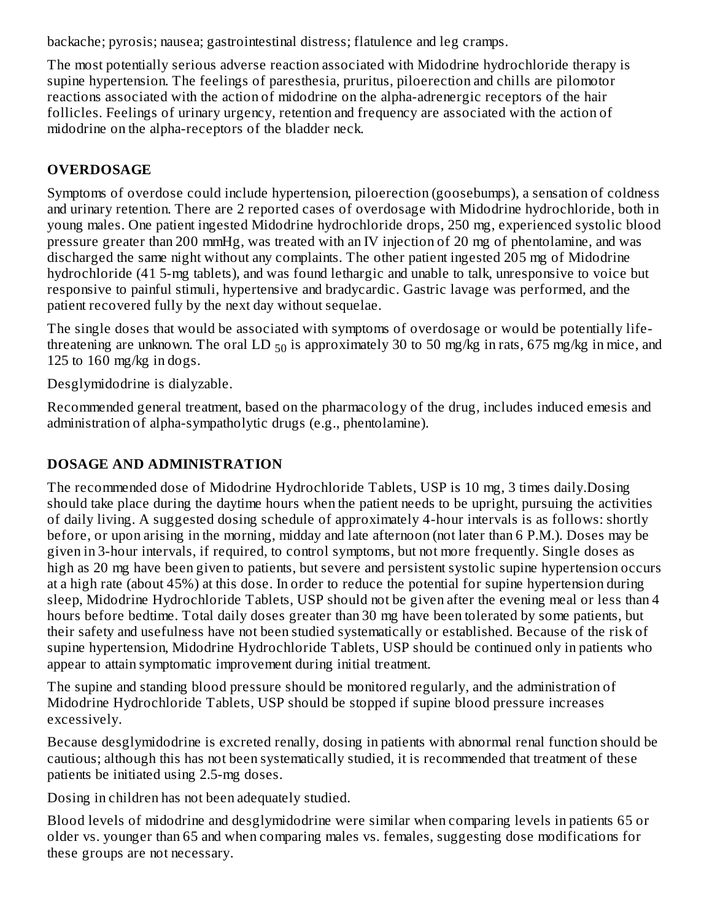backache; pyrosis; nausea; gastrointestinal distress; flatulence and leg cramps.

The most potentially serious adverse reaction associated with Midodrine hydrochloride therapy is supine hypertension. The feelings of paresthesia, pruritus, piloerection and chills are pilomotor reactions associated with the action of midodrine on the alpha-adrenergic receptors of the hair follicles. Feelings of urinary urgency, retention and frequency are associated with the action of midodrine on the alpha-receptors of the bladder neck.

# **OVERDOSAGE**

Symptoms of overdose could include hypertension, piloerection (goosebumps), a sensation of coldness and urinary retention. There are 2 reported cases of overdosage with Midodrine hydrochloride, both in young males. One patient ingested Midodrine hydrochloride drops, 250 mg, experienced systolic blood pressure greater than 200 mmHg, was treated with an IV injection of 20 mg of phentolamine, and was discharged the same night without any complaints. The other patient ingested 205 mg of Midodrine hydrochloride (41 5-mg tablets), and was found lethargic and unable to talk, unresponsive to voice but responsive to painful stimuli, hypertensive and bradycardic. Gastric lavage was performed, and the patient recovered fully by the next day without sequelae.

The single doses that would be associated with symptoms of overdosage or would be potentially lifethreatening are unknown. The oral LD  $_{50}$  is approximately 30 to 50 mg/kg in rats, 675 mg/kg in mice, and 125 to 160 mg/kg in dogs.

Desglymidodrine is dialyzable.

Recommended general treatment, based on the pharmacology of the drug, includes induced emesis and administration of alpha-sympatholytic drugs (e.g., phentolamine).

# **DOSAGE AND ADMINISTRATION**

The recommended dose of Midodrine Hydrochloride Tablets, USP is 10 mg, 3 times daily.Dosing should take place during the daytime hours when the patient needs to be upright, pursuing the activities of daily living. A suggested dosing schedule of approximately 4-hour intervals is as follows: shortly before, or upon arising in the morning, midday and late afternoon (not later than 6 P.M.). Doses may be given in 3-hour intervals, if required, to control symptoms, but not more frequently. Single doses as high as 20 mg have been given to patients, but severe and persistent systolic supine hypertension occurs at a high rate (about 45%) at this dose. In order to reduce the potential for supine hypertension during sleep, Midodrine Hydrochloride Tablets, USP should not be given after the evening meal or less than 4 hours before bedtime. Total daily doses greater than 30 mg have been tolerated by some patients, but their safety and usefulness have not been studied systematically or established. Because of the risk of supine hypertension, Midodrine Hydrochloride Tablets, USP should be continued only in patients who appear to attain symptomatic improvement during initial treatment.

The supine and standing blood pressure should be monitored regularly, and the administration of Midodrine Hydrochloride Tablets, USP should be stopped if supine blood pressure increases excessively.

Because desglymidodrine is excreted renally, dosing in patients with abnormal renal function should be cautious; although this has not been systematically studied, it is recommended that treatment of these patients be initiated using 2.5-mg doses.

Dosing in children has not been adequately studied.

Blood levels of midodrine and desglymidodrine were similar when comparing levels in patients 65 or older vs. younger than 65 and when comparing males vs. females, suggesting dose modifications for these groups are not necessary.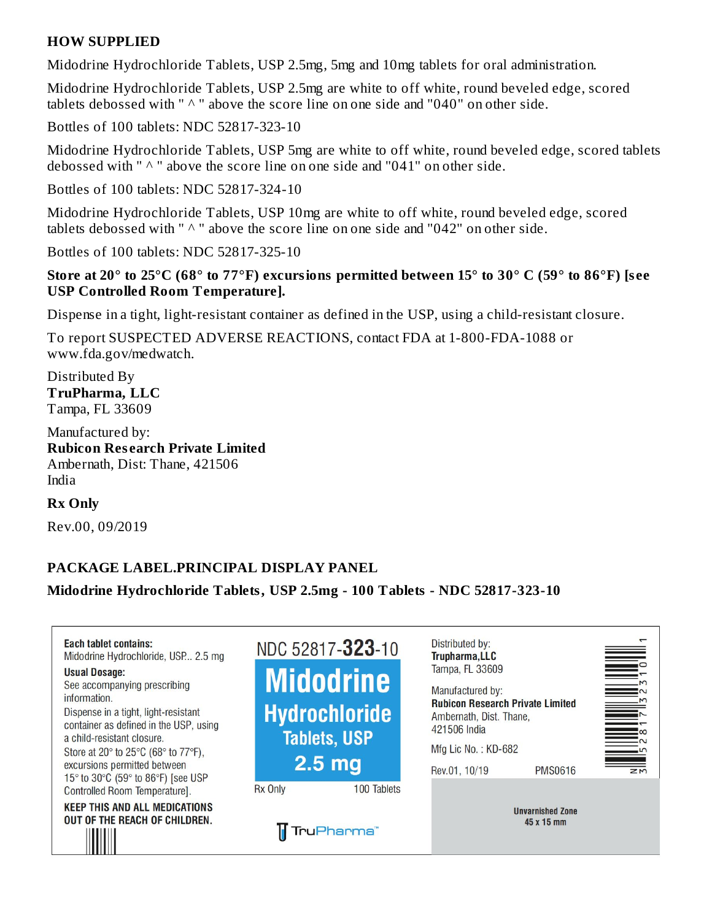## **HOW SUPPLIED**

Midodrine Hydrochloride Tablets, USP 2.5mg, 5mg and 10mg tablets for oral administration.

Midodrine Hydrochloride Tablets, USP 2.5mg are white to off white, round beveled edge, scored tablets debossed with " $\wedge$ " above the score line on one side and "040" on other side.

Bottles of 100 tablets: NDC 52817-323-10

Midodrine Hydrochloride Tablets, USP 5mg are white to off white, round beveled edge, scored tablets debossed with " $\wedge$  " above the score line on one side and "041" on other side.

Bottles of 100 tablets: NDC 52817-324-10

Midodrine Hydrochloride Tablets, USP 10mg are white to off white, round beveled edge, scored tablets debossed with " $\wedge$  " above the score line on one side and "042" on other side.

Bottles of 100 tablets: NDC 52817-325-10

Store at 20 $^{\circ}$  to 25 $^{\circ}$ C (68 $^{\circ}$  to 77 $^{\circ}$ F) excursions permitted between 15 $^{\circ}$  to 30 $^{\circ}$  C (59 $^{\circ}$  to 86 $^{\circ}$ F) [see **USP Controlled Room Temperature].**

Dispense in a tight, light-resistant container as defined in the USP, using a child-resistant closure.

To report SUSPECTED ADVERSE REACTIONS, contact FDA at 1-800-FDA-1088 or www.fda.gov/medwatch.

Distributed By **TruPharma, LLC** Tampa, FL 33609

Manufactured by: **Rubicon Res earch Private Limited** Ambernath, Dist: Thane, 421506 India

**Rx Only**

Rev.00, 09/2019

## **PACKAGE LABEL.PRINCIPAL DISPLAY PANEL**

**Midodrine Hydrochloride Tablets, USP 2.5mg - 100 Tablets - NDC 52817-323-10**

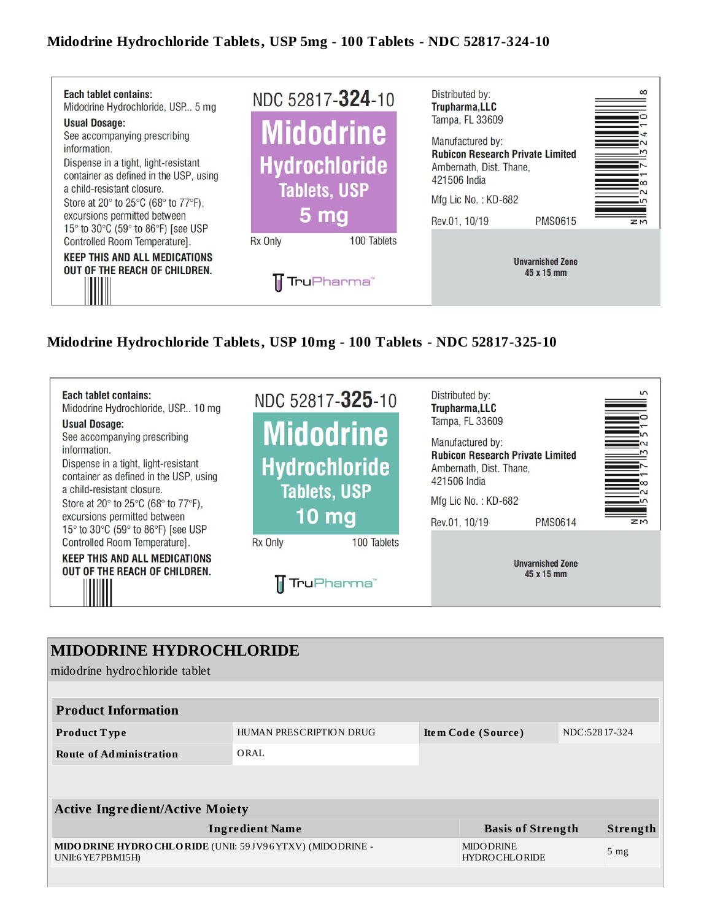#### **Midodrine Hydrochloride Tablets, USP 5mg - 100 Tablets - NDC 52817-324-10**



#### **Midodrine Hydrochloride Tablets, USP 10mg - 100 Tablets - NDC 52817-325-10**



| <b>MIDODRINE HYDROCHLORIDE</b>                                                           |                         |                                          |               |                 |
|------------------------------------------------------------------------------------------|-------------------------|------------------------------------------|---------------|-----------------|
| midodrine hydrochloride tablet                                                           |                         |                                          |               |                 |
|                                                                                          |                         |                                          |               |                 |
| <b>Product Information</b>                                                               |                         |                                          |               |                 |
| <b>Product Type</b>                                                                      | HUMAN PRESCRIPTION DRUG | Item Code (Source)                       | NDC:52817-324 |                 |
| <b>Route of Administration</b>                                                           | ORAL                    |                                          |               |                 |
|                                                                                          |                         |                                          |               |                 |
|                                                                                          |                         |                                          |               |                 |
| <b>Active Ingredient/Active Moiety</b>                                                   |                         |                                          |               |                 |
|                                                                                          | <b>Ingredient Name</b>  | <b>Basis of Strength</b>                 |               | Strength        |
| <b>MIDO DRINE HYDRO CHLO RIDE (UNII: 59JV96 YTXV) (MIDO DRINE -</b><br>UNII:6 YE7PBM15H) |                         | <b>MIDODRINE</b><br><b>HYDROCHLORIDE</b> |               | 5 <sub>mg</sub> |
|                                                                                          |                         |                                          |               |                 |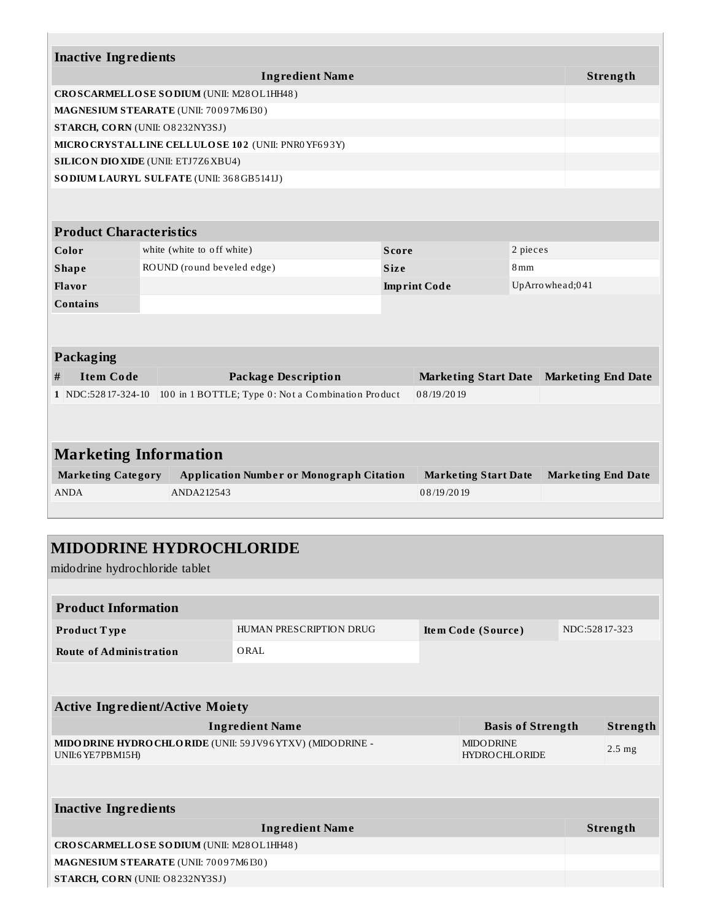|                              | <b>Inactive Ingredients</b>                 |  |                                                     |                     |                             |                  |                           |  |
|------------------------------|---------------------------------------------|--|-----------------------------------------------------|---------------------|-----------------------------|------------------|---------------------------|--|
|                              |                                             |  | <b>Ingredient Name</b>                              |                     |                             |                  | Strength                  |  |
|                              |                                             |  | CROSCARMELLOSE SODIUM (UNII: M28OL1HH48)            |                     |                             |                  |                           |  |
|                              |                                             |  | MAGNESIUM STEARATE (UNII: 70097M6I30)               |                     |                             |                  |                           |  |
|                              | STARCH, CORN (UNII: O8232NY3SJ)             |  |                                                     |                     |                             |                  |                           |  |
|                              |                                             |  | MICRO CRYSTALLINE CELLULOSE 102 (UNII: PNR0 YF693Y) |                     |                             |                  |                           |  |
|                              | <b>SILICON DIO XIDE (UNII: ETJ7Z6 XBU4)</b> |  |                                                     |                     |                             |                  |                           |  |
|                              |                                             |  | SO DIUM LAURYL SULFATE (UNII: 368GB5141J)           |                     |                             |                  |                           |  |
|                              |                                             |  |                                                     |                     |                             |                  |                           |  |
|                              |                                             |  |                                                     |                     |                             |                  |                           |  |
|                              | <b>Product Characteristics</b>              |  |                                                     |                     |                             |                  |                           |  |
|                              | Color                                       |  | white (white to off white)                          | <b>Score</b>        |                             | 2 pieces         |                           |  |
|                              | <b>Shape</b>                                |  | ROUND (round beveled edge)                          | <b>Size</b>         |                             | 8mm              |                           |  |
|                              | Flavor                                      |  |                                                     | <b>Imprint Code</b> |                             | UpArro whead;041 |                           |  |
|                              | <b>Contains</b>                             |  |                                                     |                     |                             |                  |                           |  |
|                              |                                             |  |                                                     |                     |                             |                  |                           |  |
|                              |                                             |  |                                                     |                     |                             |                  |                           |  |
|                              | Packaging                                   |  |                                                     |                     |                             |                  |                           |  |
| #                            | <b>Item Code</b>                            |  | <b>Package Description</b>                          |                     | <b>Marketing Start Date</b> |                  | <b>Marketing End Date</b> |  |
|                              | 1 NDC:528 17-324-10                         |  | 100 in 1 BOTTLE; Type 0: Not a Combination Product  |                     | 08/19/2019                  |                  |                           |  |
|                              |                                             |  |                                                     |                     |                             |                  |                           |  |
|                              |                                             |  |                                                     |                     |                             |                  |                           |  |
|                              |                                             |  |                                                     |                     |                             |                  |                           |  |
| <b>Marketing Information</b> |                                             |  |                                                     |                     |                             |                  |                           |  |
| <b>Marketing Category</b>    |                                             |  | <b>Application Number or Monograph Citation</b>     |                     | <b>Marketing Start Date</b> |                  | <b>Marketing End Date</b> |  |
|                              | <b>ANDA</b>                                 |  | ANDA212543                                          |                     | 08/19/2019                  |                  |                           |  |
|                              |                                             |  |                                                     |                     |                             |                  |                           |  |
|                              |                                             |  |                                                     |                     |                             |                  |                           |  |
|                              |                                             |  | <b>MIDODRINE HYDROCHLORIDE</b>                      |                     |                             |                  |                           |  |
|                              | midodrine hydrochloride tablet              |  |                                                     |                     |                             |                  |                           |  |

| <b>Product Information</b>                                                               |                                          |                          |                    |               |                 |
|------------------------------------------------------------------------------------------|------------------------------------------|--------------------------|--------------------|---------------|-----------------|
| <b>Product Type</b>                                                                      | HUMAN PRESCRIPTION DRUG                  |                          | Item Code (Source) | NDC:52817-323 |                 |
| <b>Route of Administration</b>                                                           | ORAL                                     |                          |                    |               |                 |
|                                                                                          |                                          |                          |                    |               |                 |
|                                                                                          |                                          |                          |                    |               |                 |
| <b>Active Ingredient/Active Moiety</b>                                                   |                                          |                          |                    |               |                 |
| <b>Ingredient Name</b>                                                                   |                                          | <b>Basis of Strength</b> |                    |               |                 |
| <b>MIDO DRINE HYDRO CHLO RIDE (UNII: 59JV96 YTXV) (MIDO DRINE -</b><br>UNII:6 YE7PBM15H) | <b>MIDODRINE</b><br><b>HYDROCHLORIDE</b> |                          |                    | $2.5$ mg      |                 |
|                                                                                          |                                          |                          |                    |               |                 |
| <b>Inactive Ingredients</b>                                                              |                                          |                          |                    |               |                 |
|                                                                                          |                                          |                          |                    |               |                 |
| <b>Ingredient Name</b>                                                                   |                                          |                          |                    |               | <b>Strength</b> |
| CROSCARMELLOSE SODIUM (UNII: M28OL1HH48)                                                 |                                          |                          |                    |               |                 |
| MAGNESIUM STEARATE (UNII: 70097M6I30)                                                    |                                          |                          |                    |               |                 |
| STARCH, CORN (UNII: O8232NY3SJ)                                                          |                                          |                          |                    |               |                 |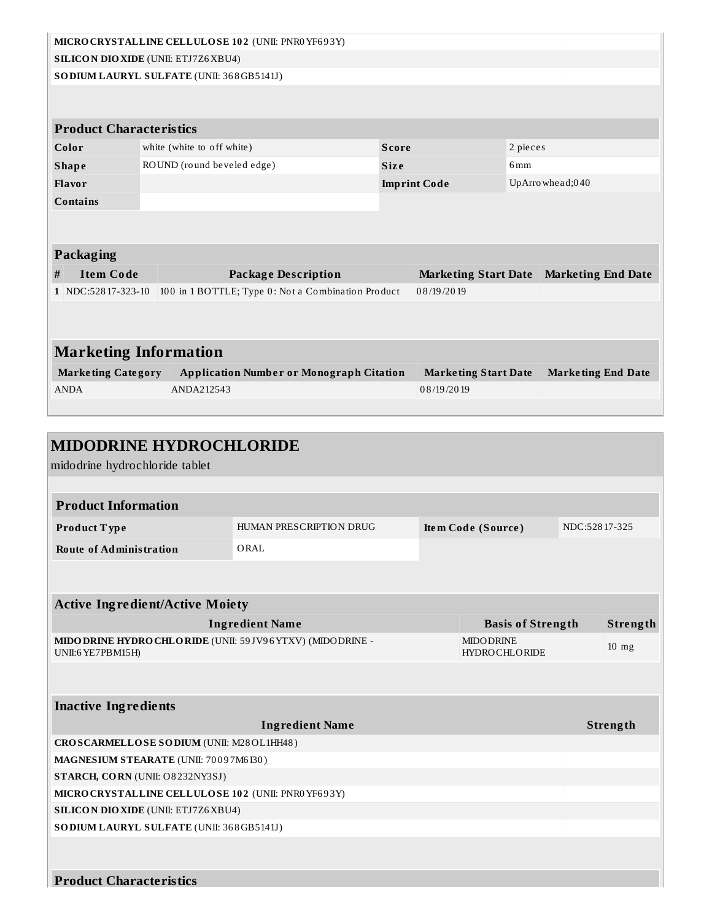|                                                                              |  | MICRO CRYSTALLINE CELLULO SE 102 (UNII: PNR0 YF693Y) |                             |                             |                           |                           |
|------------------------------------------------------------------------------|--|------------------------------------------------------|-----------------------------|-----------------------------|---------------------------|---------------------------|
| <b>SILICON DIO XIDE (UNII: ETJ7Z6 XBU4)</b>                                  |  |                                                      |                             |                             |                           |                           |
|                                                                              |  | SO DIUM LAURYL SULFATE (UNII: 368GB5141J)            |                             |                             |                           |                           |
|                                                                              |  |                                                      |                             |                             |                           |                           |
| <b>Product Characteristics</b>                                               |  |                                                      |                             |                             |                           |                           |
| Color                                                                        |  | white (white to off white)                           | <b>Score</b>                |                             | 2 pieces                  |                           |
| <b>Shape</b>                                                                 |  | ROUND (round beveled edge)                           | <b>Size</b>                 |                             | 6mm                       |                           |
| Flavor                                                                       |  |                                                      |                             | <b>Imprint Code</b>         |                           | UpArro whead;040          |
| <b>Contains</b>                                                              |  |                                                      |                             |                             |                           |                           |
|                                                                              |  |                                                      |                             |                             |                           |                           |
| Packaging                                                                    |  |                                                      |                             |                             |                           |                           |
| <b>Item Code</b><br>#                                                        |  | <b>Package Description</b>                           |                             | <b>Marketing Start Date</b> |                           | <b>Marketing End Date</b> |
| 100 in 1 BOTTLE; Type 0: Not a Combination Product<br>1 NDC:52817-323-10     |  |                                                      | 08/19/2019                  |                             |                           |                           |
|                                                                              |  |                                                      |                             |                             |                           |                           |
| <b>Marketing Information</b>                                                 |  |                                                      |                             |                             |                           |                           |
| <b>Application Number or Monograph Citation</b><br><b>Marketing Category</b> |  |                                                      | <b>Marketing Start Date</b> |                             | <b>Marketing End Date</b> |                           |
| <b>ANDA</b><br>ANDA212543                                                    |  |                                                      | 08/19/2019                  |                             |                           |                           |
|                                                                              |  |                                                      |                             |                             |                           |                           |
|                                                                              |  |                                                      |                             |                             |                           |                           |
|                                                                              |  | MIDODRINE HVDROCHI ORIDE                             |                             |                             |                           |                           |

| MIDODRINE HTDROCHLORIDE                                                          |                                           |                          |               |          |
|----------------------------------------------------------------------------------|-------------------------------------------|--------------------------|---------------|----------|
| midodrine hydrochloride tablet                                                   |                                           |                          |               |          |
|                                                                                  |                                           |                          |               |          |
| <b>Product Information</b>                                                       |                                           |                          |               |          |
| Product Type                                                                     | HUMAN PRESCRIPTION DRUG                   | Item Code (Source)       | NDC:52817-325 |          |
| <b>Route of Administration</b>                                                   | ORAL                                      |                          |               |          |
|                                                                                  |                                           |                          |               |          |
|                                                                                  |                                           |                          |               |          |
| <b>Active Ingredient/Active Moiety</b>                                           |                                           |                          |               |          |
|                                                                                  | <b>Ingredient Name</b>                    | <b>Basis of Strength</b> |               | Strength |
| MIDO DRINE HYDRO CHLO RIDE (UNII: 59JV96YTXV) (MIDO DRINE -<br>UNII:6 YE7PBM15H) | <b>MIDO DRINE</b><br><b>HYDROCHLORIDE</b> |                          | $10$ mg       |          |
|                                                                                  |                                           |                          |               |          |
| <b>Inactive Ingredients</b>                                                      |                                           |                          |               |          |
|                                                                                  | <b>Ingredient Name</b>                    |                          |               | Strength |
| CROSCARMELLOSE SODIUM (UNII: M28OL1HH48)                                         |                                           |                          |               |          |
| MAGNESIUM STEARATE (UNII: 70097M6I30)                                            |                                           |                          |               |          |
| STARCH, CORN (UNII: O8232NY3SJ)                                                  |                                           |                          |               |          |
| MICRO CRYSTALLINE CELLULO SE 102 (UNII: PNR0 YF693Y)                             |                                           |                          |               |          |
| <b>SILICON DIO XIDE (UNII: ETJ7Z6 XBU4)</b>                                      |                                           |                          |               |          |
| SO DIUM LAURYL SULFATE (UNII: 368GB5141J)                                        |                                           |                          |               |          |
|                                                                                  |                                           |                          |               |          |
|                                                                                  |                                           |                          |               |          |
| <b>Product Characteristics</b>                                                   |                                           |                          |               |          |